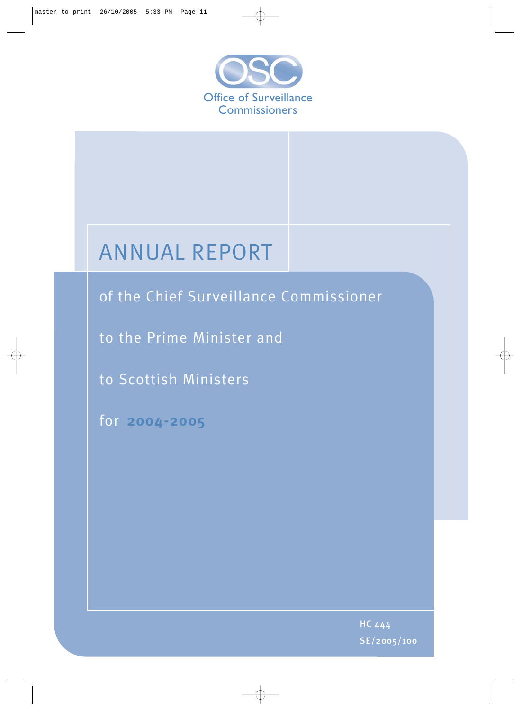

# ANNUAL REPORT

# of the Chief Surveillance Commissioner

to the Prime Minister and

to Scottish Ministers

for **2004-2005**

HC 444 SE/2005/100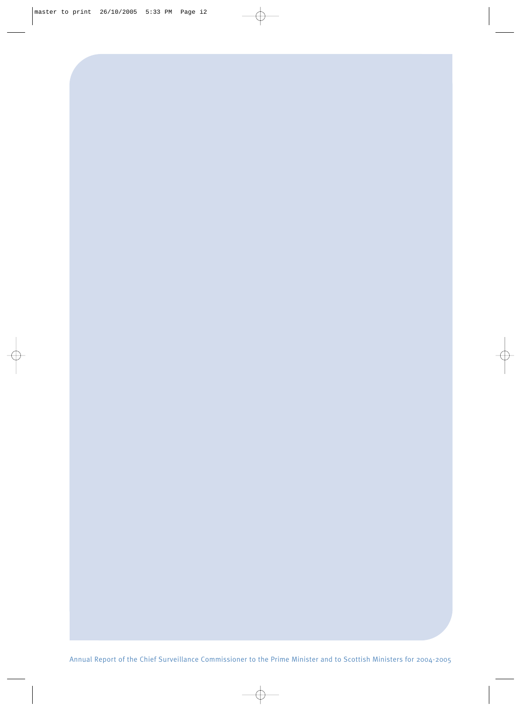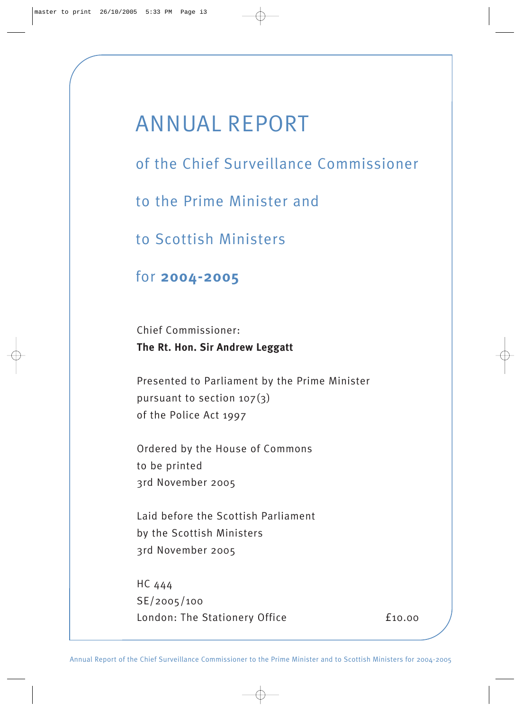# ANNUAL REPORT

of the Chief Surveillance Commissioner

to the Prime Minister and

to Scottish Ministers

for **2004-2005**

Chief Commissioner: **The Rt. Hon. Sir Andrew Leggatt**

Presented to Parliament by the Prime Minister pursuant to section 107(3) of the Police Act 1997

Ordered by the House of Commons to be printed 3rd November 2005

Laid before the Scottish Parliament by the Scottish Ministers 3rd November 2005

HC 444 SE/2005/100 London: The Stationery Office F10.00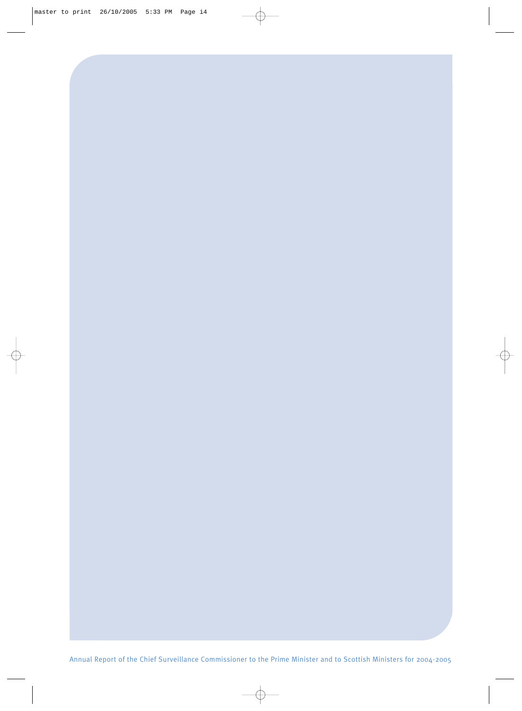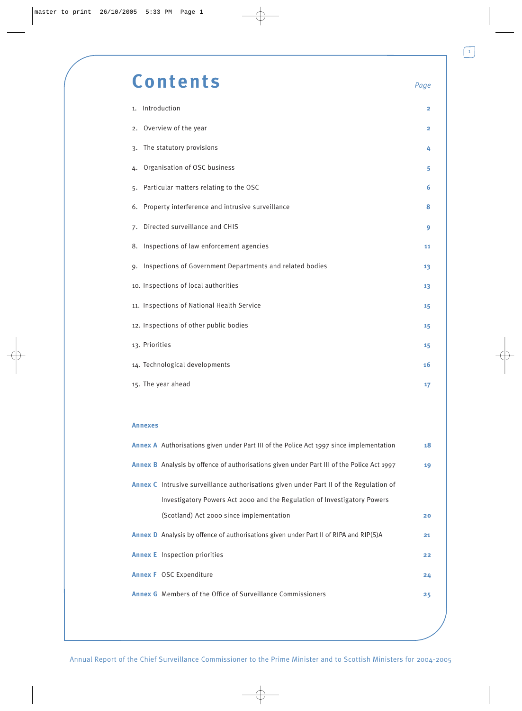| <b>Contents</b>                                                | Page                    |
|----------------------------------------------------------------|-------------------------|
| Introduction<br>1.                                             | $\overline{\mathbf{2}}$ |
| Overview of the year<br>2.                                     | $\overline{\mathbf{2}}$ |
| The statutory provisions<br>3.                                 | 4                       |
| Organisation of OSC business<br>4.                             | 5                       |
| Particular matters relating to the OSC<br>5.                   | 6                       |
| Property interference and intrusive surveillance<br>6.         | 8                       |
| Directed surveillance and CHIS<br>7.                           | 9                       |
| Inspections of law enforcement agencies<br>8.                  | 11                      |
| Inspections of Government Departments and related bodies<br>9. | 13                      |
| 10. Inspections of local authorities                           | 13                      |
| 11. Inspections of National Health Service                     | 15                      |
| 12. Inspections of other public bodies                         | 15                      |
| 13. Priorities                                                 | 15                      |
| 14. Technological developments                                 | 16                      |
| 15. The year ahead                                             | 17                      |

#### **Annexes**

| <b>Annex A</b> Authorisations given under Part III of the Police Act 1997 since implementation   | 18 |
|--------------------------------------------------------------------------------------------------|----|
| <b>Annex B</b> Analysis by offence of authorisations given under Part III of the Police Act 1997 | 19 |
| <b>Annex C</b> Intrusive surveillance authorisations given under Part II of the Regulation of    |    |
| Investigatory Powers Act 2000 and the Regulation of Investigatory Powers                         |    |
| (Scotland) Act 2000 since implementation                                                         | 20 |
| Annex D Analysis by offence of authorisations given under Part II of RIPA and RIP(S)A            | 21 |
| <b>Annex E</b> Inspection priorities                                                             | 22 |
| <b>Annex F</b> OSC Expenditure                                                                   | 24 |
| <b>Annex G</b> Members of the Office of Surveillance Commissioners                               | 25 |

1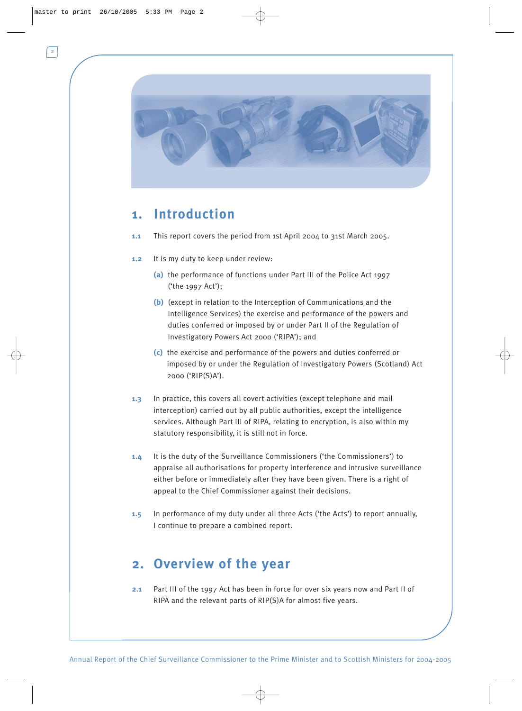

## **1. Introduction**

- **1.1** This report covers the period from 1st April 2004 to 31st March 2005.
- **1.2** It is my duty to keep under review:
	- **(a)** the performance of functions under Part III of the Police Act 1997 ('the 1997 Act');
	- **(b)** (except in relation to the Interception of Communications and the Intelligence Services) the exercise and performance of the powers and duties conferred or imposed by or under Part II of the Regulation of Investigatory Powers Act 2000 ('RIPA'); and
	- **(c)** the exercise and performance of the powers and duties conferred or imposed by or under the Regulation of Investigatory Powers (Scotland) Act 2000 ('RIP(S)A').
- **1.3** In practice, this covers all covert activities (except telephone and mail interception) carried out by all public authorities, except the intelligence services. Although Part III of RIPA, relating to encryption, is also within my statutory responsibility, it is still not in force.
- **1.4** It is the duty of the Surveillance Commissioners ('the Commissioners') to appraise all authorisations for property interference and intrusive surveillance either before or immediately after they have been given. There is a right of appeal to the Chief Commissioner against their decisions.
- **1.5** In performance of my duty under all three Acts ('the Acts') to report annually, I continue to prepare a combined report.

## **2. Overview of the year**

**2.1** Part III of the 1997 Act has been in force for over six years now and Part II of RIPA and the relevant parts of RIP(S)A for almost five years.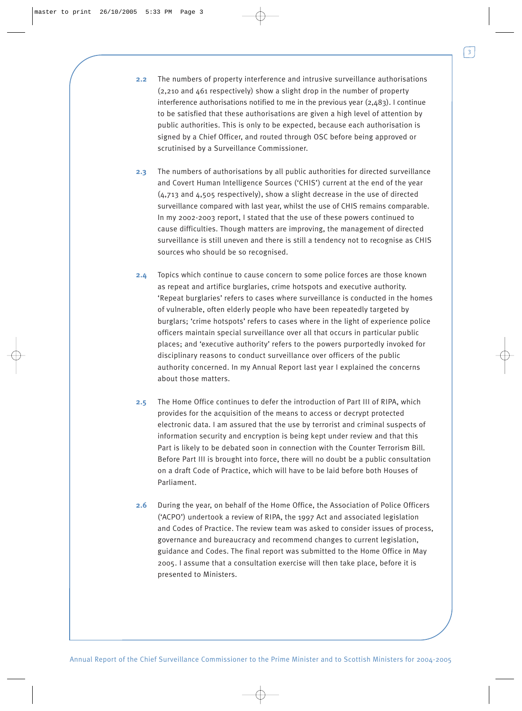- **2.2** The numbers of property interference and intrusive surveillance authorisations (2,210 and 461 respectively) show a slight drop in the number of property interference authorisations notified to me in the previous year (2,483). I continue to be satisfied that these authorisations are given a high level of attention by public authorities. This is only to be expected, because each authorisation is signed by a Chief Officer, and routed through OSC before being approved or scrutinised by a Surveillance Commissioner.
- **2.3** The numbers of authorisations by all public authorities for directed surveillance and Covert Human Intelligence Sources ('CHIS') current at the end of the year (4,713 and 4,505 respectively), show a slight decrease in the use of directed surveillance compared with last year, whilst the use of CHIS remains comparable. In my 2002-2003 report, I stated that the use of these powers continued to cause difficulties. Though matters are improving, the management of directed surveillance is still uneven and there is still a tendency not to recognise as CHIS sources who should be so recognised.
- **2.4** Topics which continue to cause concern to some police forces are those known as repeat and artifice burglaries, crime hotspots and executive authority. 'Repeat burglaries' refers to cases where surveillance is conducted in the homes of vulnerable, often elderly people who have been repeatedly targeted by burglars; 'crime hotspots' refers to cases where in the light of experience police officers maintain special surveillance over all that occurs in particular public places; and 'executive authority' refers to the powers purportedly invoked for disciplinary reasons to conduct surveillance over officers of the public authority concerned. In my Annual Report last year I explained the concerns about those matters.
- **2.5** The Home Office continues to defer the introduction of Part III of RIPA, which provides for the acquisition of the means to access or decrypt protected electronic data. I am assured that the use by terrorist and criminal suspects of information security and encryption is being kept under review and that this Part is likely to be debated soon in connection with the Counter Terrorism Bill. Before Part III is brought into force, there will no doubt be a public consultation on a draft Code of Practice, which will have to be laid before both Houses of Parliament.
- **2.6** During the year, on behalf of the Home Office, the Association of Police Officers ('ACPO') undertook a review of RIPA, the 1997 Act and associated legislation and Codes of Practice. The review team was asked to consider issues of process, governance and bureaucracy and recommend changes to current legislation, guidance and Codes. The final report was submitted to the Home Office in May 2005. I assume that a consultation exercise will then take place, before it is presented to Ministers.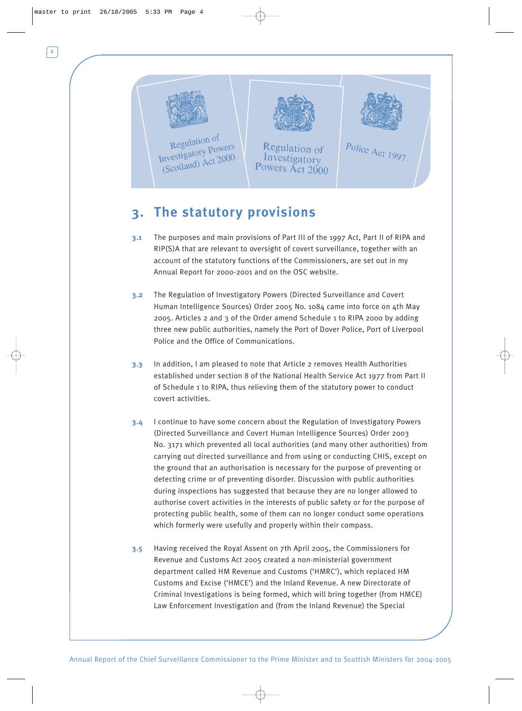

## **3. The statutory provisions**

- **3.1** The purposes and main provisions of Part III of the 1997 Act, Part II of RIPA and RIP(S)A that are relevant to oversight of covert surveillance, together with an account of the statutory functions of the Commissioners, are set out in my Annual Report for 2000-2001 and on the OSC website.
- **3.2** The Regulation of Investigatory Powers (Directed Surveillance and Covert Human Intelligence Sources) Order 2005 No. 1084 came into force on 4th May 2005. Articles 2 and 3 of the Order amend Schedule 1 to RIPA 2000 by adding three new public authorities, namely the Port of Dover Police, Port of Liverpool Police and the Office of Communications.
- **3.3** In addition, I am pleased to note that Article 2 removes Health Authorities established under section 8 of the National Health Service Act 1977 from Part II of Schedule 1 to RIPA, thus relieving them of the statutory power to conduct covert activities.
- **3.4** I continue to have some concern about the Regulation of Investigatory Powers (Directed Surveillance and Covert Human Intelligence Sources) Order 2003 No. 3171 which prevented all local authorities (and many other authorities) from carrying out directed surveillance and from using or conducting CHIS, except on the ground that an authorisation is necessary for the purpose of preventing or detecting crime or of preventing disorder. Discussion with public authorities during inspections has suggested that because they are no longer allowed to authorise covert activities in the interests of public safety or for the purpose of protecting public health, some of them can no longer conduct some operations which formerly were usefully and properly within their compass.
- **3.5** Having received the Royal Assent on 7th April 2005, the Commissioners for Revenue and Customs Act 2005 created a non-ministerial government department called HM Revenue and Customs ('HMRC'), which replaced HM Customs and Excise ('HMCE') and the Inland Revenue. A new Directorate of Criminal Investigations is being formed, which will bring together (from HMCE) Law Enforcement Investigation and (from the Inland Revenue) the Special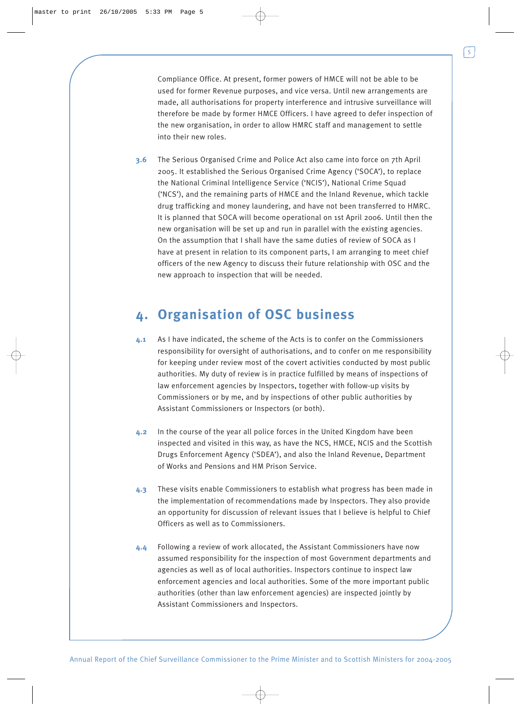Compliance Office. At present, former powers of HMCE will not be able to be used for former Revenue purposes, and vice versa. Until new arrangements are made, all authorisations for property interference and intrusive surveillance will therefore be made by former HMCE Officers. I have agreed to defer inspection of the new organisation, in order to allow HMRC staff and management to settle into their new roles.

**3.6** The Serious Organised Crime and Police Act also came into force on 7th April 2005. It established the Serious Organised Crime Agency ('SOCA'), to replace the National Criminal Intelligence Service ('NCIS'), National Crime Squad ('NCS'), and the remaining parts of HMCE and the Inland Revenue, which tackle drug trafficking and money laundering, and have not been transferred to HMRC. It is planned that SOCA will become operational on 1st April 2006. Until then the new organisation will be set up and run in parallel with the existing agencies. On the assumption that I shall have the same duties of review of SOCA as I have at present in relation to its component parts, I am arranging to meet chief officers of the new Agency to discuss their future relationship with OSC and the new approach to inspection that will be needed.

## **4. Organisation of OSC business**

- **4.1** As I have indicated, the scheme of the Acts is to confer on the Commissioners responsibility for oversight of authorisations, and to confer on me responsibility for keeping under review most of the covert activities conducted by most public authorities. My duty of review is in practice fulfilled by means of inspections of law enforcement agencies by Inspectors, together with follow-up visits by Commissioners or by me, and by inspections of other public authorities by Assistant Commissioners or Inspectors (or both).
- **4.2** In the course of the year all police forces in the United Kingdom have been inspected and visited in this way, as have the NCS, HMCE, NCIS and the Scottish Drugs Enforcement Agency ('SDEA'), and also the Inland Revenue, Department of Works and Pensions and HM Prison Service.
- **4.3** These visits enable Commissioners to establish what progress has been made in the implementation of recommendations made by Inspectors. They also provide an opportunity for discussion of relevant issues that I believe is helpful to Chief Officers as well as to Commissioners.
- **4.4** Following a review of work allocated, the Assistant Commissioners have now assumed responsibility for the inspection of most Government departments and agencies as well as of local authorities. Inspectors continue to inspect law enforcement agencies and local authorities. Some of the more important public authorities (other than law enforcement agencies) are inspected jointly by Assistant Commissioners and Inspectors.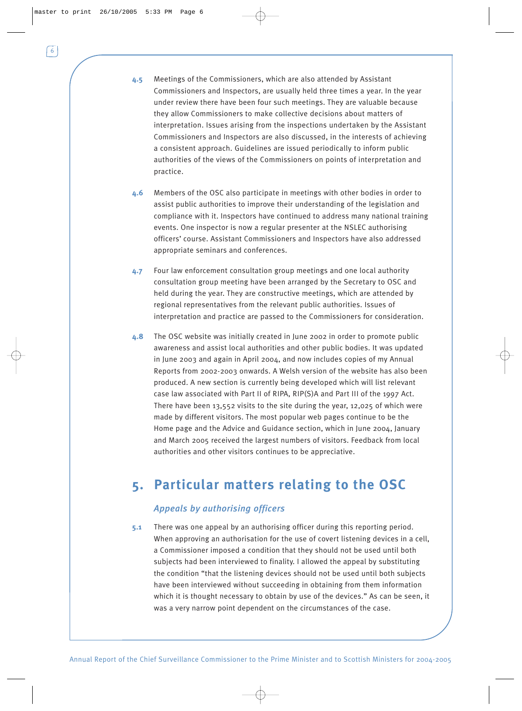- **4.5** Meetings of the Commissioners, which are also attended by Assistant Commissioners and Inspectors, are usually held three times a year. In the year under review there have been four such meetings. They are valuable because they allow Commissioners to make collective decisions about matters of interpretation. Issues arising from the inspections undertaken by the Assistant Commissioners and Inspectors are also discussed, in the interests of achieving a consistent approach. Guidelines are issued periodically to inform public authorities of the views of the Commissioners on points of interpretation and practice.
- **4.6** Members of the OSC also participate in meetings with other bodies in order to assist public authorities to improve their understanding of the legislation and compliance with it. Inspectors have continued to address many national training events. One inspector is now a regular presenter at the NSLEC authorising officers' course. Assistant Commissioners and Inspectors have also addressed appropriate seminars and conferences.
- **4.7** Four law enforcement consultation group meetings and one local authority consultation group meeting have been arranged by the Secretary to OSC and held during the year. They are constructive meetings, which are attended by regional representatives from the relevant public authorities. Issues of interpretation and practice are passed to the Commissioners for consideration.
- **4.8** The OSC website was initially created in June 2002 in order to promote public awareness and assist local authorities and other public bodies. It was updated in June 2003 and again in April 2004, and now includes copies of my Annual Reports from 2002-2003 onwards. A Welsh version of the website has also been produced. A new section is currently being developed which will list relevant case law associated with Part II of RIPA, RIP(S)A and Part III of the 1997 Act. There have been 13,552 visits to the site during the year, 12,025 of which were made by different visitors. The most popular web pages continue to be the Home page and the Advice and Guidance section, which in June 2004, January and March 2005 received the largest numbers of visitors. Feedback from local authorities and other visitors continues to be appreciative.

## **5. Particular matters relating to the OSC**

#### *Appeals by authorising officers*

**5.1** There was one appeal by an authorising officer during this reporting period. When approving an authorisation for the use of covert listening devices in a cell, a Commissioner imposed a condition that they should not be used until both subjects had been interviewed to finality. I allowed the appeal by substituting the condition "that the listening devices should not be used until both subjects have been interviewed without succeeding in obtaining from them information which it is thought necessary to obtain by use of the devices." As can be seen, it was a very narrow point dependent on the circumstances of the case.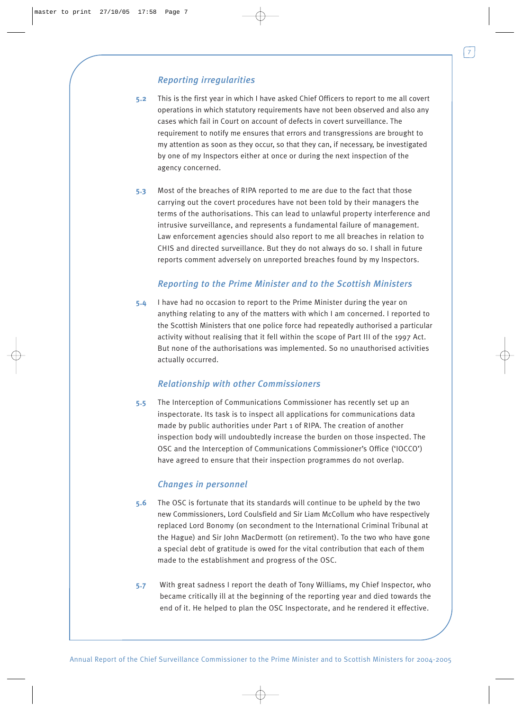## *Reporting irregularities*

- **5.2** This is the first year in which I have asked Chief Officers to report to me all covert operations in which statutory requirements have not been observed and also any cases which fail in Court on account of defects in covert surveillance. The requirement to notify me ensures that errors and transgressions are brought to my attention as soon as they occur, so that they can, if necessary, be investigated by one of my Inspectors either at once or during the next inspection of the agency concerned.
- **5.3** Most of the breaches of RIPA reported to me are due to the fact that those carrying out the covert procedures have not been told by their managers the terms of the authorisations. This can lead to unlawful property interference and intrusive surveillance, and represents a fundamental failure of management. Law enforcement agencies should also report to me all breaches in relation to CHIS and directed surveillance. But they do not always do so. I shall in future reports comment adversely on unreported breaches found by my Inspectors.

#### *Reporting to the Prime Minister and to the Scottish Ministers*

**5.4** I have had no occasion to report to the Prime Minister during the year on anything relating to any of the matters with which I am concerned. I reported to the Scottish Ministers that one police force had repeatedly authorised a particular activity without realising that it fell within the scope of Part III of the 1997 Act. But none of the authorisations was implemented. So no unauthorised activities actually occurred.

#### *Relationship with other Commissioners*

**5.5** The Interception of Communications Commissioner has recently set up an inspectorate. Its task is to inspect all applications for communications data made by public authorities under Part 1 of RIPA. The creation of another inspection body will undoubtedly increase the burden on those inspected. The OSC and the Interception of Communications Commissioner's Office ('IOCCO') have agreed to ensure that their inspection programmes do not overlap.

#### *Changes in personnel*

- **5.6** The OSC is fortunate that its standards will continue to be upheld by the two new Commissioners, Lord Coulsfield and Sir Liam McCollum who have respectively replaced Lord Bonomy (on secondment to the International Criminal Tribunal at the Hague) and Sir John MacDermott (on retirement). To the two who have gone a special debt of gratitude is owed for the vital contribution that each of them made to the establishment and progress of the OSC.
- **5.7** With great sadness I report the death of Tony Williams, my Chief Inspector, who became critically ill at the beginning of the reporting year and died towards the end of it. He helped to plan the OSC Inspectorate, and he rendered it effective.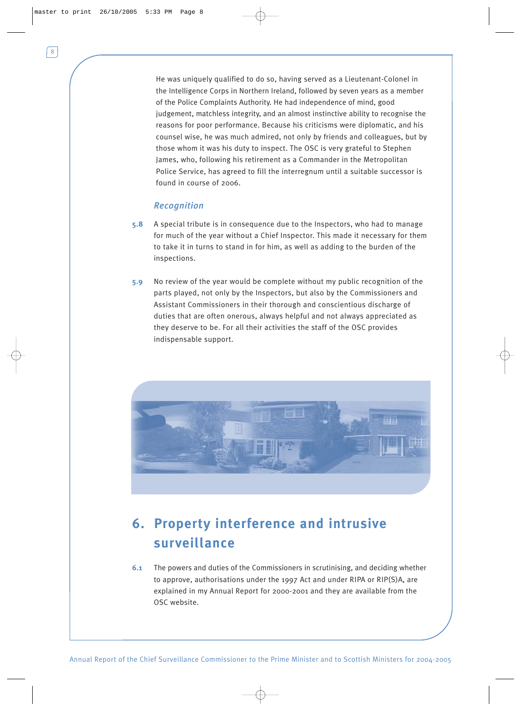He was uniquely qualified to do so, having served as a Lieutenant-Colonel in the Intelligence Corps in Northern Ireland, followed by seven years as a member of the Police Complaints Authority. He had independence of mind, good judgement, matchless integrity, and an almost instinctive ability to recognise the reasons for poor performance. Because his criticisms were diplomatic, and his counsel wise, he was much admired, not only by friends and colleagues, but by those whom it was his duty to inspect. The OSC is very grateful to Stephen James, who, following his retirement as a Commander in the Metropolitan Police Service, has agreed to fill the interregnum until a suitable successor is found in course of 2006.

#### *Recognition*

- **5.8** A special tribute is in consequence due to the Inspectors, who had to manage for much of the year without a Chief Inspector. This made it necessary for them to take it in turns to stand in for him, as well as adding to the burden of the inspections.
- **5.9** No review of the year would be complete without my public recognition of the parts played, not only by the Inspectors, but also by the Commissioners and Assistant Commissioners in their thorough and conscientious discharge of duties that are often onerous, always helpful and not always appreciated as they deserve to be. For all their activities the staff of the OSC provides indispensable support.



## **6. Property interference and intrusive surveillance**

**6.1** The powers and duties of the Commissioners in scrutinising, and deciding whether to approve, authorisations under the 1997 Act and under RIPA or RIP(S)A, are explained in my Annual Report for 2000-2001 and they are available from the OSC website.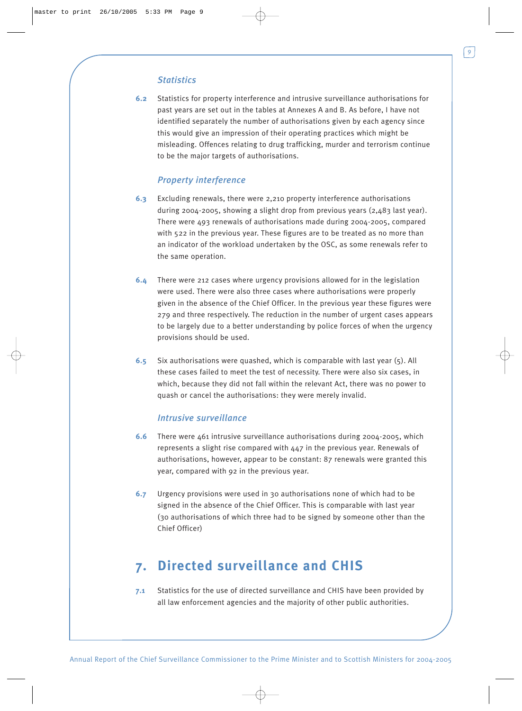## *Statistics*

**6.2** Statistics for property interference and intrusive surveillance authorisations for past years are set out in the tables at Annexes A and B. As before, I have not identified separately the number of authorisations given by each agency since this would give an impression of their operating practices which might be misleading. Offences relating to drug trafficking, murder and terrorism continue to be the major targets of authorisations.

#### *Property interference*

- **6.3** Excluding renewals, there were 2,210 property interference authorisations during 2004-2005, showing a slight drop from previous years (2,483 last year). There were 493 renewals of authorisations made during 2004-2005, compared with 522 in the previous year. These figures are to be treated as no more than an indicator of the workload undertaken by the OSC, as some renewals refer to the same operation.
- **6.4** There were 212 cases where urgency provisions allowed for in the legislation were used. There were also three cases where authorisations were properly given in the absence of the Chief Officer. In the previous year these figures were 279 and three respectively. The reduction in the number of urgent cases appears to be largely due to a better understanding by police forces of when the urgency provisions should be used.
- **6.5** Six authorisations were quashed, which is comparable with last year (5). All these cases failed to meet the test of necessity. There were also six cases, in which, because they did not fall within the relevant Act, there was no power to quash or cancel the authorisations: they were merely invalid.

#### *Intrusive surveillance*

- **6.6** There were 461 intrusive surveillance authorisations during 2004-2005, which represents a slight rise compared with 447 in the previous year. Renewals of authorisations, however, appear to be constant: 87 renewals were granted this year, compared with 92 in the previous year.
- **6.7** Urgency provisions were used in 30 authorisations none of which had to be signed in the absence of the Chief Officer. This is comparable with last year (30 authorisations of which three had to be signed by someone other than the Chief Officer)

## **7. Directed surveillance and CHIS**

**7.1** Statistics for the use of directed surveillance and CHIS have been provided by all law enforcement agencies and the majority of other public authorities.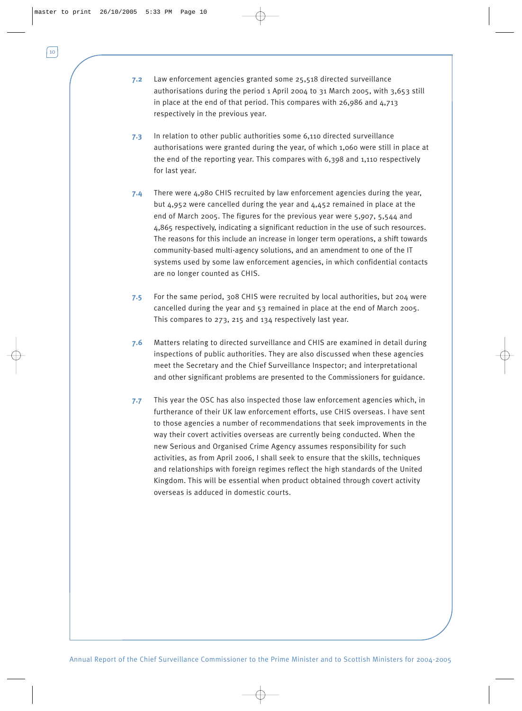- **7.2** Law enforcement agencies granted some 25,518 directed surveillance authorisations during the period 1 April 2004 to 31 March 2005, with 3,653 still in place at the end of that period. This compares with 26,986 and 4,713 respectively in the previous year.
- **7.3** In relation to other public authorities some 6,110 directed surveillance authorisations were granted during the year, of which 1,060 were still in place at the end of the reporting year. This compares with 6,398 and 1,110 respectively for last year.
- **7.4** There were 4,980 CHIS recruited by law enforcement agencies during the year, but 4,952 were cancelled during the year and 4,452 remained in place at the end of March 2005. The figures for the previous year were 5,907, 5,544 and 4,865 respectively, indicating a significant reduction in the use of such resources. The reasons for this include an increase in longer term operations, a shift towards community-based multi-agency solutions, and an amendment to one of the IT systems used by some law enforcement agencies, in which confidential contacts are no longer counted as CHIS.
- **7.5** For the same period, 308 CHIS were recruited by local authorities, but 204 were cancelled during the year and 53 remained in place at the end of March 2005. This compares to 273, 215 and 134 respectively last year.
- **7.6** Matters relating to directed surveillance and CHIS are examined in detail during inspections of public authorities. They are also discussed when these agencies meet the Secretary and the Chief Surveillance Inspector; and interpretational and other significant problems are presented to the Commissioners for guidance.
- **7.7** This year the OSC has also inspected those law enforcement agencies which, in furtherance of their UK law enforcement efforts, use CHIS overseas. I have sent to those agencies a number of recommendations that seek improvements in the way their covert activities overseas are currently being conducted. When the new Serious and Organised Crime Agency assumes responsibility for such activities, as from April 2006, I shall seek to ensure that the skills, techniques and relationships with foreign regimes reflect the high standards of the United Kingdom. This will be essential when product obtained through covert activity overseas is adduced in domestic courts.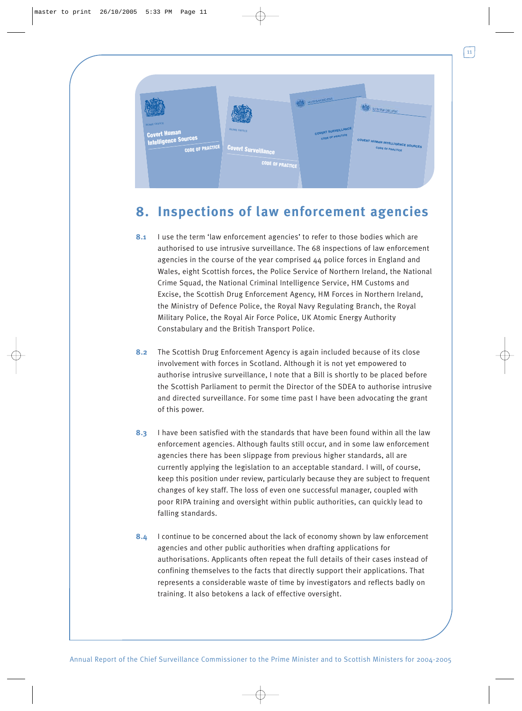

## **8. Inspections of law enforcement agencies**

- **8.1** I use the term 'law enforcement agencies' to refer to those bodies which are authorised to use intrusive surveillance. The 68 inspections of law enforcement agencies in the course of the year comprised 44 police forces in England and Wales, eight Scottish forces, the Police Service of Northern Ireland, the National Crime Squad, the National Criminal Intelligence Service, HM Customs and Excise, the Scottish Drug Enforcement Agency, HM Forces in Northern Ireland, the Ministry of Defence Police, the Royal Navy Regulating Branch, the Royal Military Police, the Royal Air Force Police, UK Atomic Energy Authority Constabulary and the British Transport Police.
- **8.2** The Scottish Drug Enforcement Agency is again included because of its close involvement with forces in Scotland. Although it is not yet empowered to authorise intrusive surveillance, I note that a Bill is shortly to be placed before the Scottish Parliament to permit the Director of the SDEA to authorise intrusive and directed surveillance. For some time past I have been advocating the grant of this power.
- **8.3** I have been satisfied with the standards that have been found within all the law enforcement agencies. Although faults still occur, and in some law enforcement agencies there has been slippage from previous higher standards, all are currently applying the legislation to an acceptable standard. I will, of course, keep this position under review, particularly because they are subject to frequent changes of key staff. The loss of even one successful manager, coupled with poor RIPA training and oversight within public authorities, can quickly lead to falling standards.
- **8.4** I continue to be concerned about the lack of economy shown by law enforcement agencies and other public authorities when drafting applications for authorisations. Applicants often repeat the full details of their cases instead of confining themselves to the facts that directly support their applications. That represents a considerable waste of time by investigators and reflects badly on training. It also betokens a lack of effective oversight.

11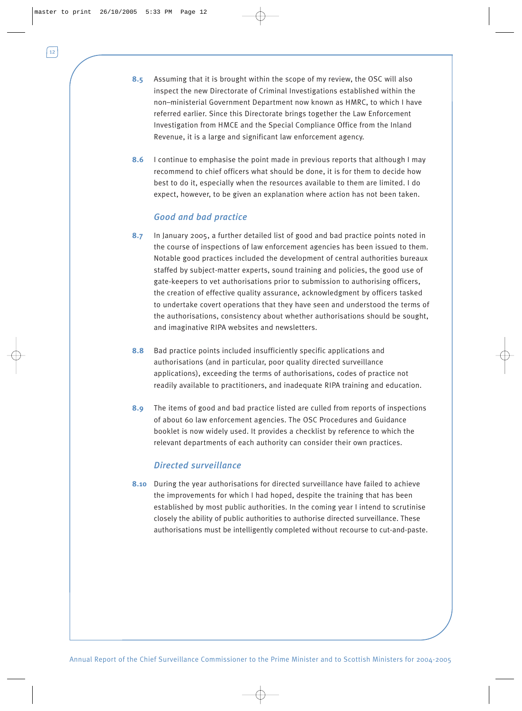- **8.5** Assuming that it is brought within the scope of my review, the OSC will also inspect the new Directorate of Criminal Investigations established within the non–ministerial Government Department now known as HMRC, to which I have referred earlier. Since this Directorate brings together the Law Enforcement Investigation from HMCE and the Special Compliance Office from the Inland Revenue, it is a large and significant law enforcement agency.
- **8.6** I continue to emphasise the point made in previous reports that although I may recommend to chief officers what should be done, it is for them to decide how best to do it, especially when the resources available to them are limited. I do expect, however, to be given an explanation where action has not been taken.

#### *Good and bad practice*

- **8.7** In January 2005, a further detailed list of good and bad practice points noted in the course of inspections of law enforcement agencies has been issued to them. Notable good practices included the development of central authorities bureaux staffed by subject-matter experts, sound training and policies, the good use of gate-keepers to vet authorisations prior to submission to authorising officers, the creation of effective quality assurance, acknowledgment by officers tasked to undertake covert operations that they have seen and understood the terms of the authorisations, consistency about whether authorisations should be sought, and imaginative RIPA websites and newsletters.
- **8.8** Bad practice points included insufficiently specific applications and authorisations (and in particular, poor quality directed surveillance applications), exceeding the terms of authorisations, codes of practice not readily available to practitioners, and inadequate RIPA training and education.
- **8.9** The items of good and bad practice listed are culled from reports of inspections of about 60 law enforcement agencies. The OSC Procedures and Guidance booklet is now widely used. It provides a checklist by reference to which the relevant departments of each authority can consider their own practices.

#### *Directed surveillance*

**8.10** During the year authorisations for directed surveillance have failed to achieve the improvements for which I had hoped, despite the training that has been established by most public authorities. In the coming year I intend to scrutinise closely the ability of public authorities to authorise directed surveillance. These authorisations must be intelligently completed without recourse to cut-and-paste.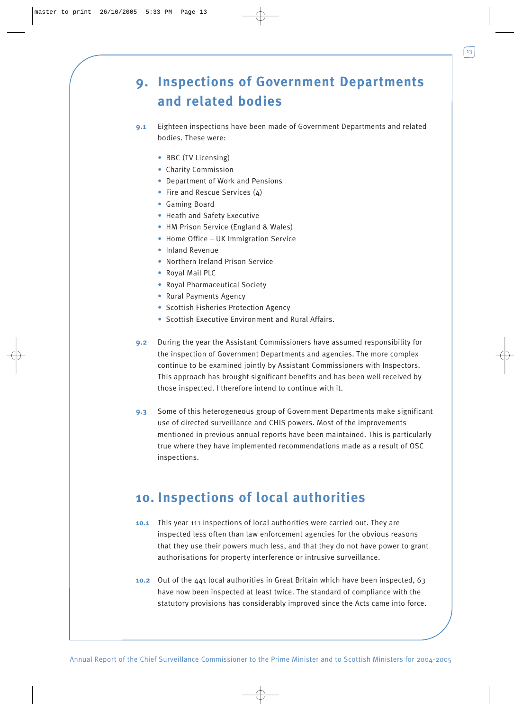## **9. Inspections of Government Departments and related bodies**

- **9.1** Eighteen inspections have been made of Government Departments and related bodies. These were:
	- BBC (TV Licensing)
	- Charity Commission
	- Department of Work and Pensions
	- Fire and Rescue Services (4)
	- Gaming Board
	- Heath and Safety Executive
	- HM Prison Service (England & Wales)
	- Home Office UK Immigration Service
	- Inland Revenue
	- Northern Ireland Prison Service
	- Royal Mail PLC
	- Royal Pharmaceutical Society
	- Rural Payments Agency
	- Scottish Fisheries Protection Agency
	- Scottish Executive Environment and Rural Affairs.
- **9.2** During the year the Assistant Commissioners have assumed responsibility for the inspection of Government Departments and agencies. The more complex continue to be examined jointly by Assistant Commissioners with Inspectors. This approach has brought significant benefits and has been well received by those inspected. I therefore intend to continue with it.
- **9.3** Some of this heterogeneous group of Government Departments make significant use of directed surveillance and CHIS powers. Most of the improvements mentioned in previous annual reports have been maintained. This is particularly true where they have implemented recommendations made as a result of OSC inspections.

## **10. Inspections of local authorities**

- **10.1** This year 111 inspections of local authorities were carried out. They are inspected less often than law enforcement agencies for the obvious reasons that they use their powers much less, and that they do not have power to grant authorisations for property interference or intrusive surveillance.
- **10.2** Out of the 441 local authorities in Great Britain which have been inspected, 63 have now been inspected at least twice. The standard of compliance with the statutory provisions has considerably improved since the Acts came into force.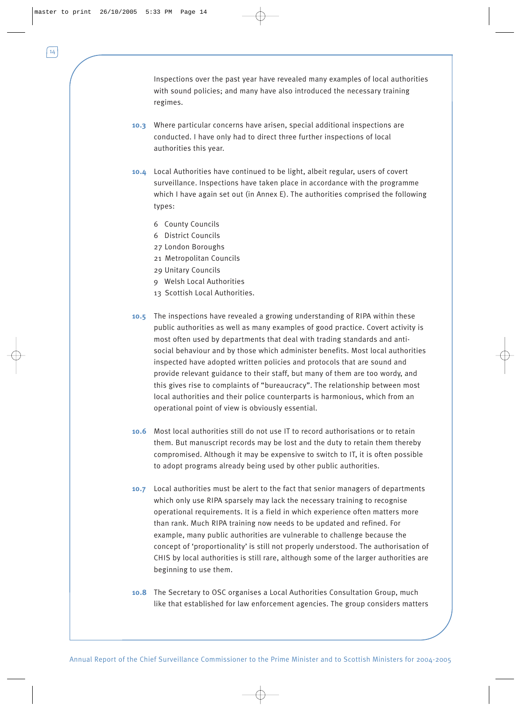Inspections over the past year have revealed many examples of local authorities with sound policies; and many have also introduced the necessary training regimes.

- **10.3** Where particular concerns have arisen, special additional inspections are conducted. I have only had to direct three further inspections of local authorities this year.
- **10.4** Local Authorities have continued to be light, albeit regular, users of covert surveillance. Inspections have taken place in accordance with the programme which I have again set out (in Annex E). The authorities comprised the following types:
	- 6 County Councils
	- 6 District Councils
	- 27 London Boroughs
	- 21 Metropolitan Councils
	- 29 Unitary Councils
	- 9 Welsh Local Authorities
	- 13 Scottish Local Authorities.
- **10.5** The inspections have revealed a growing understanding of RIPA within these public authorities as well as many examples of good practice. Covert activity is most often used by departments that deal with trading standards and antisocial behaviour and by those which administer benefits. Most local authorities inspected have adopted written policies and protocols that are sound and provide relevant guidance to their staff, but many of them are too wordy, and this gives rise to complaints of "bureaucracy". The relationship between most local authorities and their police counterparts is harmonious, which from an operational point of view is obviously essential.
- **10.6** Most local authorities still do not use IT to record authorisations or to retain them. But manuscript records may be lost and the duty to retain them thereby compromised. Although it may be expensive to switch to IT, it is often possible to adopt programs already being used by other public authorities.
- **10.7** Local authorities must be alert to the fact that senior managers of departments which only use RIPA sparsely may lack the necessary training to recognise operational requirements. It is a field in which experience often matters more than rank. Much RIPA training now needs to be updated and refined. For example, many public authorities are vulnerable to challenge because the concept of 'proportionality' is still not properly understood. The authorisation of CHIS by local authorities is still rare, although some of the larger authorities are beginning to use them.
- **10.8** The Secretary to OSC organises a Local Authorities Consultation Group, much like that established for law enforcement agencies. The group considers matters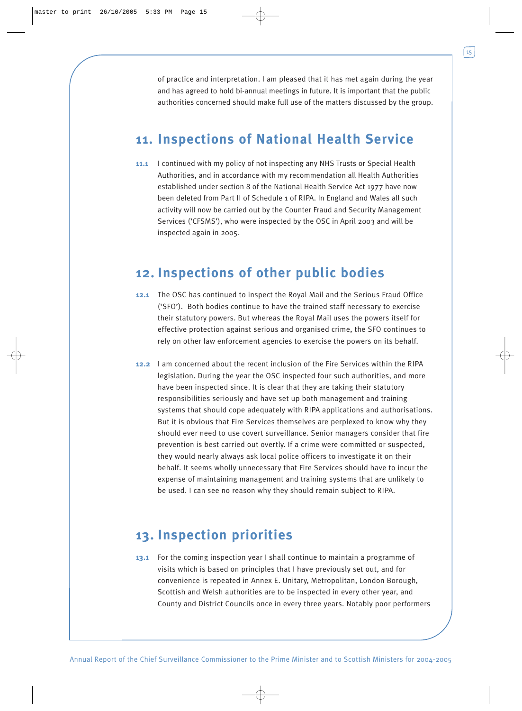of practice and interpretation. I am pleased that it has met again during the year and has agreed to hold bi-annual meetings in future. It is important that the public authorities concerned should make full use of the matters discussed by the group.

## **11. Inspections of National Health Service**

**11.1** I continued with my policy of not inspecting any NHS Trusts or Special Health Authorities, and in accordance with my recommendation all Health Authorities established under section 8 of the National Health Service Act 1977 have now been deleted from Part II of Schedule 1 of RIPA. In England and Wales all such activity will now be carried out by the Counter Fraud and Security Management Services ('CFSMS'), who were inspected by the OSC in April 2003 and will be inspected again in 2005.

## **12. Inspections of other public bodies**

- **12.1** The OSC has continued to inspect the Royal Mail and the Serious Fraud Office ('SFO'). Both bodies continue to have the trained staff necessary to exercise their statutory powers. But whereas the Royal Mail uses the powers itself for effective protection against serious and organised crime, the SFO continues to rely on other law enforcement agencies to exercise the powers on its behalf.
- **12.2** I am concerned about the recent inclusion of the Fire Services within the RIPA legislation. During the year the OSC inspected four such authorities, and more have been inspected since. It is clear that they are taking their statutory responsibilities seriously and have set up both management and training systems that should cope adequately with RIPA applications and authorisations. But it is obvious that Fire Services themselves are perplexed to know why they should ever need to use covert surveillance. Senior managers consider that fire prevention is best carried out overtly. If a crime were committed or suspected, they would nearly always ask local police officers to investigate it on their behalf. It seems wholly unnecessary that Fire Services should have to incur the expense of maintaining management and training systems that are unlikely to be used. I can see no reason why they should remain subject to RIPA.

## **13. Inspection priorities**

**13.1** For the coming inspection year I shall continue to maintain a programme of visits which is based on principles that I have previously set out, and for convenience is repeated in Annex E. Unitary, Metropolitan, London Borough, Scottish and Welsh authorities are to be inspected in every other year, and County and District Councils once in every three years. Notably poor performers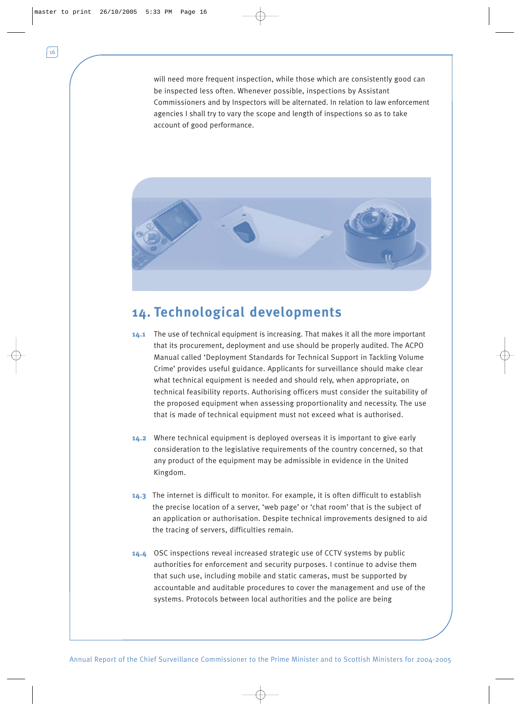will need more frequent inspection, while those which are consistently good can be inspected less often. Whenever possible, inspections by Assistant Commissioners and by Inspectors will be alternated. In relation to law enforcement agencies I shall try to vary the scope and length of inspections so as to take account of good performance.



## **14. Technological developments**

- **14.1** The use of technical equipment is increasing. That makes it all the more important that its procurement, deployment and use should be properly audited. The ACPO Manual called 'Deployment Standards for Technical Support in Tackling Volume Crime' provides useful guidance. Applicants for surveillance should make clear what technical equipment is needed and should rely, when appropriate, on technical feasibility reports. Authorising officers must consider the suitability of the proposed equipment when assessing proportionality and necessity. The use that is made of technical equipment must not exceed what is authorised.
- **14.2** Where technical equipment is deployed overseas it is important to give early consideration to the legislative requirements of the country concerned, so that any product of the equipment may be admissible in evidence in the United Kingdom.
- **14.3** The internet is difficult to monitor. For example, it is often difficult to establish the precise location of a server, 'web page' or 'chat room' that is the subject of an application or authorisation. Despite technical improvements designed to aid the tracing of servers, difficulties remain.
- **14.4** OSC inspections reveal increased strategic use of CCTV systems by public authorities for enforcement and security purposes. I continue to advise them that such use, including mobile and static cameras, must be supported by accountable and auditable procedures to cover the management and use of the systems. Protocols between local authorities and the police are being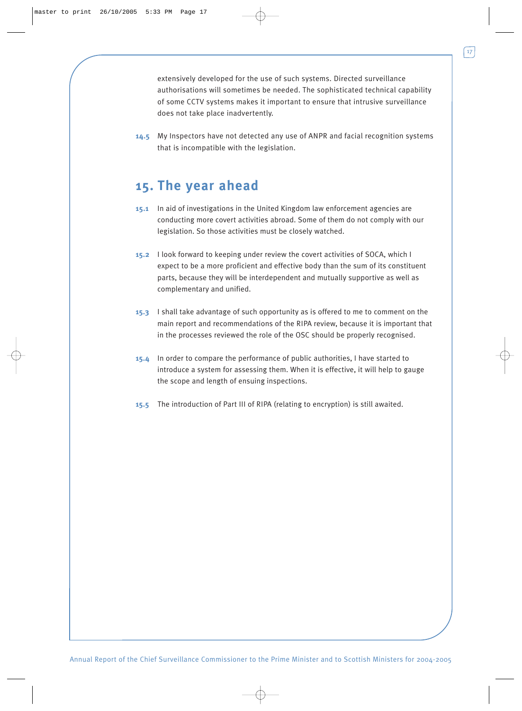extensively developed for the use of such systems. Directed surveillance authorisations will sometimes be needed. The sophisticated technical capability of some CCTV systems makes it important to ensure that intrusive surveillance does not take place inadvertently.

**14.5** My Inspectors have not detected any use of ANPR and facial recognition systems that is incompatible with the legislation.

## **15. The year ahead**

- **15.1** In aid of investigations in the United Kingdom law enforcement agencies are conducting more covert activities abroad. Some of them do not comply with our legislation. So those activities must be closely watched.
- **15.2** I look forward to keeping under review the covert activities of SOCA, which I expect to be a more proficient and effective body than the sum of its constituent parts, because they will be interdependent and mutually supportive as well as complementary and unified.
- **15.3** I shall take advantage of such opportunity as is offered to me to comment on the main report and recommendations of the RIPA review, because it is important that in the processes reviewed the role of the OSC should be properly recognised.
- **15.4** In order to compare the performance of public authorities, I have started to introduce a system for assessing them. When it is effective, it will help to gauge the scope and length of ensuing inspections.
- **15.5** The introduction of Part III of RIPA (relating to encryption) is still awaited.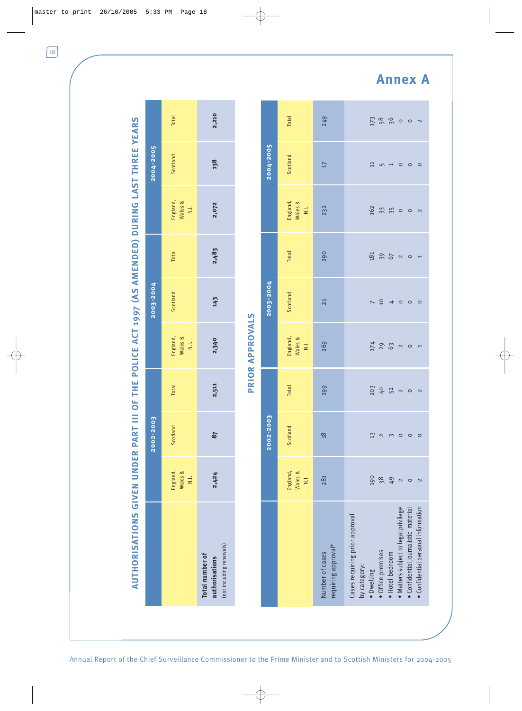|                                                                      |           | <b>Total</b>                         | 2,210                                                         |                 |           | <b>Total</b>        |
|----------------------------------------------------------------------|-----------|--------------------------------------|---------------------------------------------------------------|-----------------|-----------|---------------------|
|                                                                      | 2004-2005 | Scotland                             | 138                                                           |                 | 2004-2005 | Scotland            |
| PART III OF THE POLICE ACT 1997 (AS AMENDED) DURING LAST THREE YEARS |           | England,<br>Wales &<br>$\frac{1}{2}$ | 2,072                                                         |                 |           | England,<br>Wales & |
|                                                                      |           | <b>Total</b>                         | 2,483                                                         |                 |           | <b>Total</b>        |
|                                                                      | 2003-2004 | Scotland                             | 143                                                           |                 | 2003-2004 | Scotland            |
|                                                                      |           | England,<br>Wales &<br>$\frac{1}{2}$ | 2,340                                                         | PRIOR APPROVALS |           | England,<br>Wales & |
|                                                                      |           | <b>Total</b>                         | 2,511                                                         |                 |           | <b>Total</b>        |
|                                                                      | 2002-2003 | Scotland                             | 87                                                            |                 | 2002-2003 | Scotland            |
|                                                                      |           | England,<br>Wales &<br>$\frac{1}{2}$ | 2,424                                                         |                 |           | England,<br>Wales & |
| AUTHORISATIONS GIVEN UNDER                                           |           |                                      | (not including renewals)<br>Total number of<br>authorisations |                 |           |                     |

|                                                                                                                                                                                                                             |                                                   | 2002-2003                           |                             |                             | 2003-2004                                       |                                      |                                       | 2004-2005                  |                               |
|-----------------------------------------------------------------------------------------------------------------------------------------------------------------------------------------------------------------------------|---------------------------------------------------|-------------------------------------|-----------------------------|-----------------------------|-------------------------------------------------|--------------------------------------|---------------------------------------|----------------------------|-------------------------------|
|                                                                                                                                                                                                                             | England,<br>Wales &<br>$\frac{1}{\sum_{i=1}^{n}}$ | Scotland                            | <b>Total</b>                | England,<br>Wales &<br>N.l. | Scotland                                        | <b>Total</b>                         | England,<br>Wales &<br>N.l.           | Scotland                   | Total                         |
| requiring approval*<br>Number of cases                                                                                                                                                                                      | 281                                               | $\frac{8}{2}$                       | 299                         | 269                         | 21                                              | 290                                  | 232                                   | 17                         | 249                           |
| · Confidential personal information<br>· Matters subject to legal privilege<br>· Confidential journalistic material<br>Cases requiring prior approval<br>· Office premises<br>· Hotel bedroom<br>by category:<br>· Dwelling | 190<br>38<br>49<br>0                              | 13<br>$\circ$<br>$\circ$<br>$\circ$ | $203$<br>40<br>52<br>$\sim$ | $174$ 29 32<br>$\circ$      | $\overline{a}$<br>$\circ$<br>$\circ$<br>$\circ$ | 181<br>39<br>67<br>$\sim$<br>$\circ$ | 162<br>33<br>35<br>$\circ$<br>$\circ$ | $\Xi$<br>$\circ$<br>0<br>O | $\frac{173}{88}$ 0<br>$\circ$ |

**Annex A**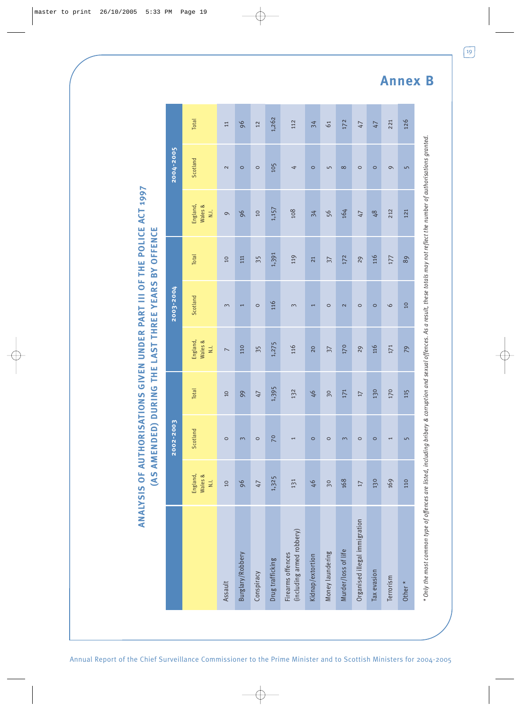**ANALYSIS OF AUTHORISATIONS GIVEN UNDER PART III OF THE POLICE ACT 1997 ANALYSIS OF AUTHORISATIONS GIVEN UNDER PART III OF THE POLICE ACT 1997** (AS AMENDED) DURING THE LAST THREE YEARS BY OFFENCE **(AS AMENDED) DURING THE LAST THREE YEARS BY OFFENCE**

|                                                |                                      | 2002-2003      |               |                                      | 2003-2004               |       |                                               | 2004-2005 |                 |
|------------------------------------------------|--------------------------------------|----------------|---------------|--------------------------------------|-------------------------|-------|-----------------------------------------------|-----------|-----------------|
|                                                | England,<br>Wales &<br>$\frac{1}{2}$ | Scotland       | <b>Total</b>  | England,<br>Wales &<br>$\frac{1}{2}$ | Scotland                | Total | England,<br>Wales &<br>$\frac{1}{\mathbf{z}}$ | Scotland  | Total           |
| Assault                                        | 10                                   | $\circ$        | $\frac{1}{2}$ | $\overline{\phantom{0}}$             | $\sim$                  | 10    | $\circ$                                       | $\sim$    | $\overline{11}$ |
| Burglary/Robbery                               | 96                                   | 3              | 99            | 110                                  | $\overline{ }$          | 111   | 96                                            | $\circ$   | 96              |
| Conspiracy                                     | 47                                   | $\circ$        | 47            | 35                                   | $\circ$                 | 35    | $\overline{10}$                               | $\circ$   | 12              |
| Drug trafficking                               | 1,325                                | 70             | 1,395         | 1,275                                | 116                     | 1,391 | 1,157                                         | 105       | 1,262           |
| (including armed robbery)<br>Firearms offences | 131                                  | 1              | 132           | 116                                  | 3                       | 119   | 108                                           | 4         | 112             |
| Kidnap/extortion                               | $\frac{9}{7}$                        | $\circ$        | 46            | 20                                   | 1                       | 21    | 34                                            | $\circ$   | 34              |
| Money laundering                               | 30                                   | $\circ$        | 30            | 37                                   | $\circ$                 | 37    | 56                                            | 5         | 61              |
| Murder/loss of life                            | 168                                  | 3              | 171           | 170                                  | $\overline{\mathbf{C}}$ | 172   | 164                                           | $\infty$  | 172             |
| Organised illegal immigration                  | 17                                   | $\circ$        | 17            | 29                                   | $\circ$                 | 29    | 47                                            | $\circ$   | 47              |
| Tax evasion                                    | 130                                  | $\circ$        | 130           | 116                                  | $\circ$                 | 116   | 48                                            | $\circ$   | 47              |
| Terrorism                                      | 169                                  | $\overline{ }$ | 170           | 171                                  | $\circ$                 | 177   | 212                                           | $\sigma$  | 221             |
| Other *                                        | 110                                  | 5              | 115           | 79                                   | 10                      | 89    | 121                                           | 5         | 126             |

**Annex B**

\* Only the most common type of offences are listed, including bribery & corruption and sexual offences. As a result, these totals may not reflect the number of authorisations granted. *\* Only the most common type of offences are listed, including bribery & corruption and sexual offences. As a result, these totals may not reflect the number of authorisations granted.*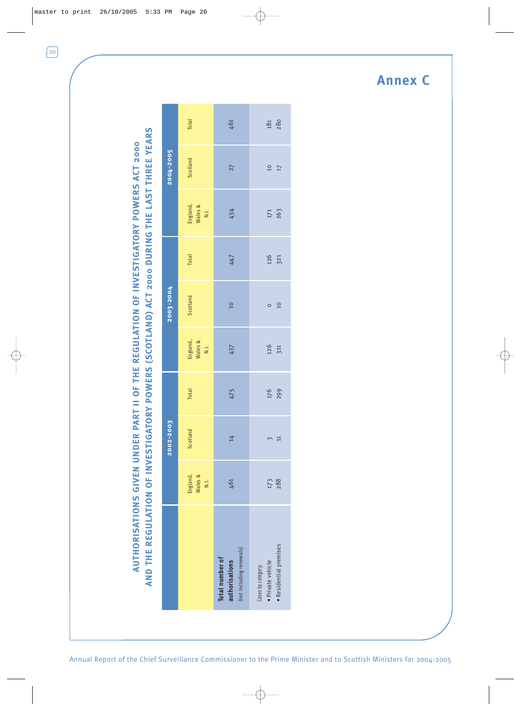AND THE REGULATION OF INVESTIGATORY POWERS (SCOTLAND) ACT 2000 DURING THE LAST THREE YEARS **AND THE REGULATION OF INVESTIGATORY POWERS (SCOTLAND) ACT 2000 DURING THE LAST THREE YEARS AUTHORISATIONS GIVEN UNDER PART II OF THE REGULATION OF INVESTIGATORY POWERS ACT 2000**  AUTHORISATIONS GIVEN UNDER PART II OF THE REGULATION OF INVESTIGATORY POWERS ACT 2000

|                                                                   |                                      | 2002-2003       |              |                             | 2003-2004                  |              |                             | 2004-2005 |              |
|-------------------------------------------------------------------|--------------------------------------|-----------------|--------------|-----------------------------|----------------------------|--------------|-----------------------------|-----------|--------------|
|                                                                   | England,<br>Wales &<br>$\frac{1}{2}$ | Scotland        | <b>Total</b> | England,<br>Wales &<br>N.l. | Scotland                   | <b>Total</b> | England,<br>Wales &<br>N.l. | Scotland  | <b>Total</b> |
| (not including renewals)<br>Total number of<br>authorisations     | 461                                  | $\overline{14}$ | 475          | 437                         | $\overline{0}$             | 447          | 434                         | 27        | 461          |
| · Residential premises<br>· Private vehicle<br>Cases by category: | 173<br>288                           | $\Xi$           | 176<br>299   | 126<br>311                  | $\overline{10}$<br>$\circ$ | 126<br>321   | 171<br>263                  | 10<br>17  | 181<br>280   |

**Annex C**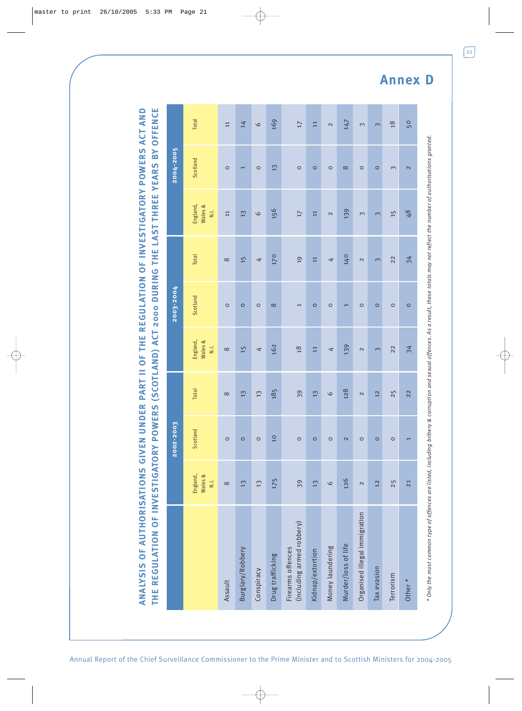ANALYSIS OF AUTHORISATIONS GIVEN UNDER PART II OF THE REGULATION OF INVESTIGATORY POWERS ACT AND THE REGULATION OF INVESTIGATORY POWERS (SCOTLAND) ACT 2000 DURING THE LAST THREE YEARS BY OFFENCE **ANALYSIS OF AUTHORISATIONS GIVEN UNDER PART II OF THE REGULATION OF INVESTIGATORY POWERS ACT AND THE REGULATION OF INVESTIGATORY POWERS (SCOTLAND) ACT 2000 DURING THE LAST THREE YEARS BY OFFENCE**

|                                                                                                                                                                                         |                                      | 2002-2003               |                   |                                               | 2003-2004 |                   |                                               | 2004-2005 |                   |
|-----------------------------------------------------------------------------------------------------------------------------------------------------------------------------------------|--------------------------------------|-------------------------|-------------------|-----------------------------------------------|-----------|-------------------|-----------------------------------------------|-----------|-------------------|
|                                                                                                                                                                                         | England,<br>Wales &<br>$\frac{1}{2}$ | Scotland                | <b>Total</b>      | England,<br>Wales &<br>$\frac{1}{\mathbf{z}}$ | Scotland  | <b>Total</b>      | England,<br>Wales &<br>$\frac{1}{\mathbf{z}}$ | Scotland  | <b>Total</b>      |
| Assault                                                                                                                                                                                 | $\infty$                             | $\circ$                 | $\infty$          | $\infty$                                      | $\circ$   | $\infty$          | 11                                            | $\circ$   | 11                |
| Burglary/Robbery                                                                                                                                                                        | $\mathfrak{L}$                       | $\circ$                 | 13                | 15                                            | $\circ$   | 15                | 13                                            | 1         | 14                |
| Conspiracy                                                                                                                                                                              | $\tilde{L}$                          | $\circ$                 | 13                | 4                                             | $\circ$   | 4                 | $\circ$                                       | $\circ$   | $\circ$           |
| Drug trafficking                                                                                                                                                                        | 175                                  | Q <sub>1</sub>          | 185               | 162                                           | $\infty$  | 170               | 156                                           | 13        | 169               |
| (including armed robbery)<br>Firearms offences                                                                                                                                          | 39                                   | $\circ$                 | 39                | 18                                            | 1         | $\overline{6}$    | 17                                            | $\circ$   | 17                |
| Kidnap/extortion                                                                                                                                                                        | 13                                   | $\circ$                 | 13                | 11                                            | $\circ$   | 11                | 11                                            | $\circ$   | 11                |
| Money laundering                                                                                                                                                                        | $\circ$                              | $\circ$                 | $\circ$           | 4                                             | $\circ$   | 4                 | $\sim$                                        | $\circ$   | $\mathbf{\Omega}$ |
| Murder/loss of life                                                                                                                                                                     | 126                                  | $\overline{\mathbf{C}}$ | 128               | 139                                           | 1         | 140               | 139                                           | $\infty$  | 147               |
| Organised illegal immigration                                                                                                                                                           | $\mathbf{\Omega}$                    | $\circ$                 | $\mathbf{\Omega}$ | $\mathbf{\Omega}$                             | $\circ$   | $\mathbf{\Omega}$ | $\sim$                                        | $\circ$   | $\overline{3}$    |
| Tax evasion                                                                                                                                                                             | 12                                   | $\circ$                 | 12                | 3                                             | $\circ$   | 3                 | 3                                             | $\circ$   | 3                 |
| Terrorism                                                                                                                                                                               | 25                                   | $\circ$                 | 25                | 22                                            | $\circ$   | 22                | 15                                            | 3         | 18                |
| Other *                                                                                                                                                                                 | $\overline{21}$                      | I                       | 22                | 34                                            | $\circ$   | 34                | 48                                            | 2         | 50                |
| * Only the most common type of offences are listed, including bribery & corruption and sexual offences. As a result, these totals may not reflect the number of authorisations granted. |                                      |                         |                   |                                               |           |                   |                                               |           |                   |

**Annex D**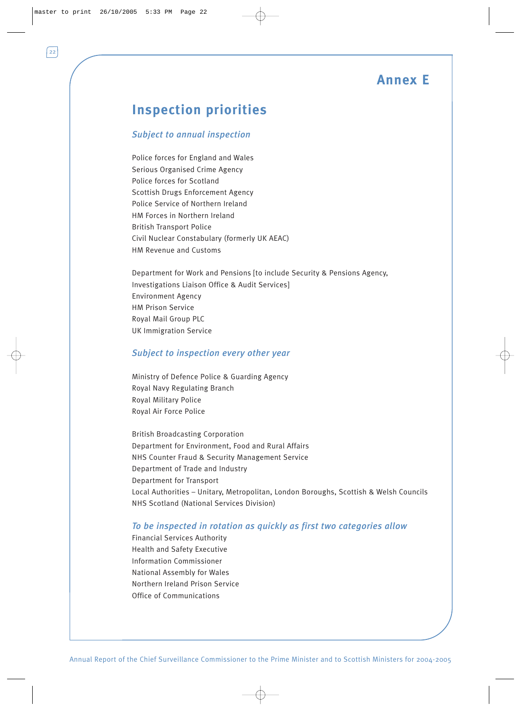## **Annex E**

## **Inspection priorities**

#### *Subject to annual inspection*

Police forces for England and Wales Serious Organised Crime Agency Police forces for Scotland Scottish Drugs Enforcement Agency Police Service of Northern Ireland HM Forces in Northern Ireland British Transport Police Civil Nuclear Constabulary (formerly UK AEAC) HM Revenue and Customs

Department for Work and Pensions [to include Security & Pensions Agency, Investigations Liaison Office & Audit Services] Environment Agency HM Prison Service Royal Mail Group PLC UK Immigration Service

#### *Subject to inspection every other year*

Ministry of Defence Police & Guarding Agency Royal Navy Regulating Branch Royal Military Police Royal Air Force Police

British Broadcasting Corporation Department for Environment, Food and Rural Affairs NHS Counter Fraud & Security Management Service Department of Trade and Industry Department for Transport Local Authorities – Unitary, Metropolitan, London Boroughs, Scottish & Welsh Councils NHS Scotland (National Services Division)

#### *To be inspected in rotation as quickly as first two categories allow*

Financial Services Authority Health and Safety Executive Information Commissioner National Assembly for Wales Northern Ireland Prison Service Office of Communications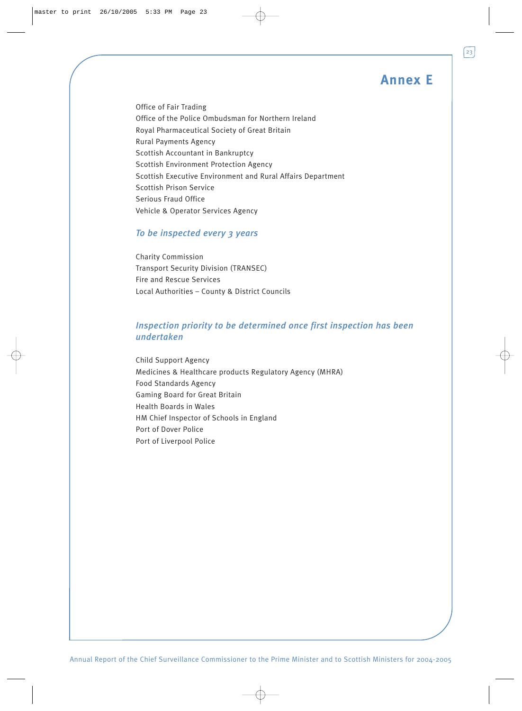## **Annex E**

Office of Fair Trading Office of the Police Ombudsman for Northern Ireland Royal Pharmaceutical Society of Great Britain Rural Payments Agency Scottish Accountant in Bankruptcy Scottish Environment Protection Agency Scottish Executive Environment and Rural Affairs Department Scottish Prison Service Serious Fraud Office Vehicle & Operator Services Agency

#### *To be inspected every 3 years*

Charity Commission Transport Security Division (TRANSEC) Fire and Rescue Services Local Authorities – County & District Councils

## *Inspection priority to be determined once first inspection has been undertaken*

Child Support Agency Medicines & Healthcare products Regulatory Agency (MHRA) Food Standards Agency Gaming Board for Great Britain Health Boards in Wales HM Chief Inspector of Schools in England Port of Dover Police Port of Liverpool Police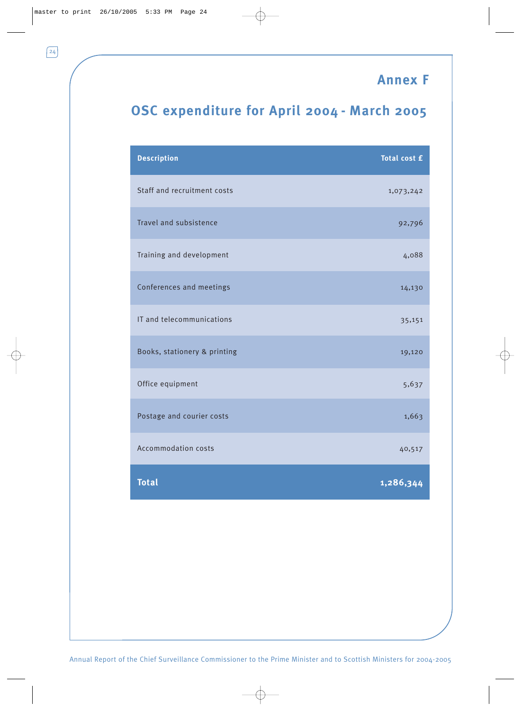## **Annex F**

## **OSC expenditure for April 2004 - March 2005**

| <b>Description</b>           | <b>Total cost £</b> |
|------------------------------|---------------------|
| Staff and recruitment costs  | 1,073,242           |
| Travel and subsistence       | 92,796              |
| Training and development     | 4,088               |
| Conferences and meetings     | 14,130              |
| IT and telecommunications    | 35,151              |
| Books, stationery & printing | 19,120              |
| Office equipment             | 5,637               |
| Postage and courier costs    | 1,663               |
| Accommodation costs          | 40,517              |
| <b>Total</b>                 | 1,286,344           |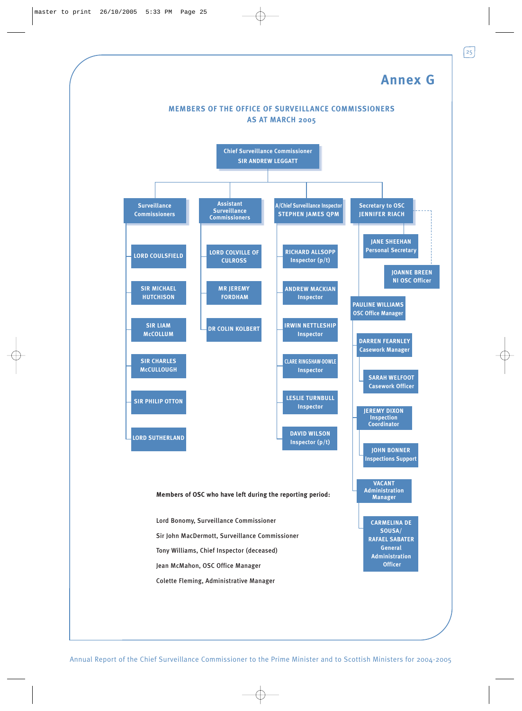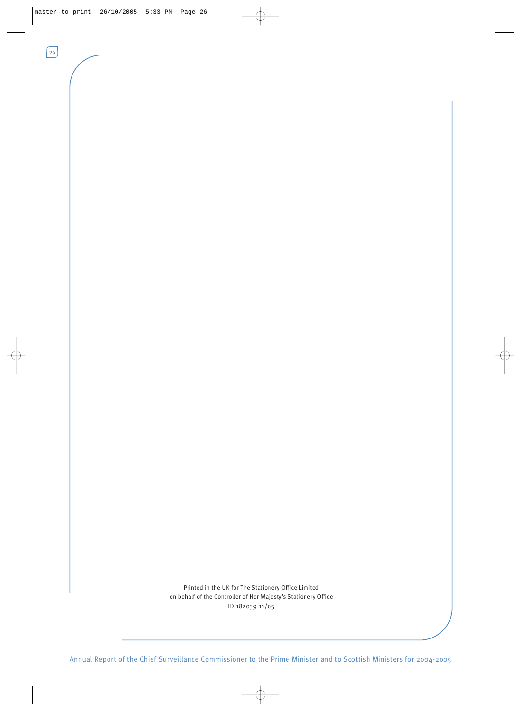$\boxed{26}$ 

Printed in the UK for The Stationery Office Limited on behalf of the Controller of Her Majesty's Stationery Office ID 182039 11/05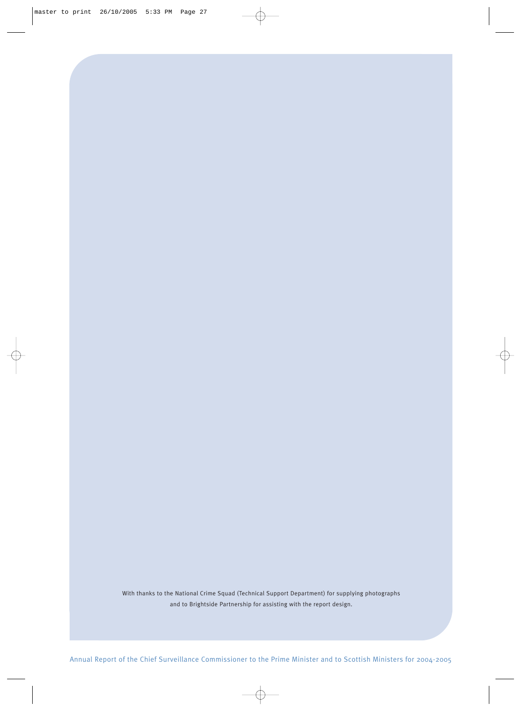With thanks to the National Crime Squad (Technical Support Department) for supplying photographs and to Brightside Partnership for assisting with the report design.